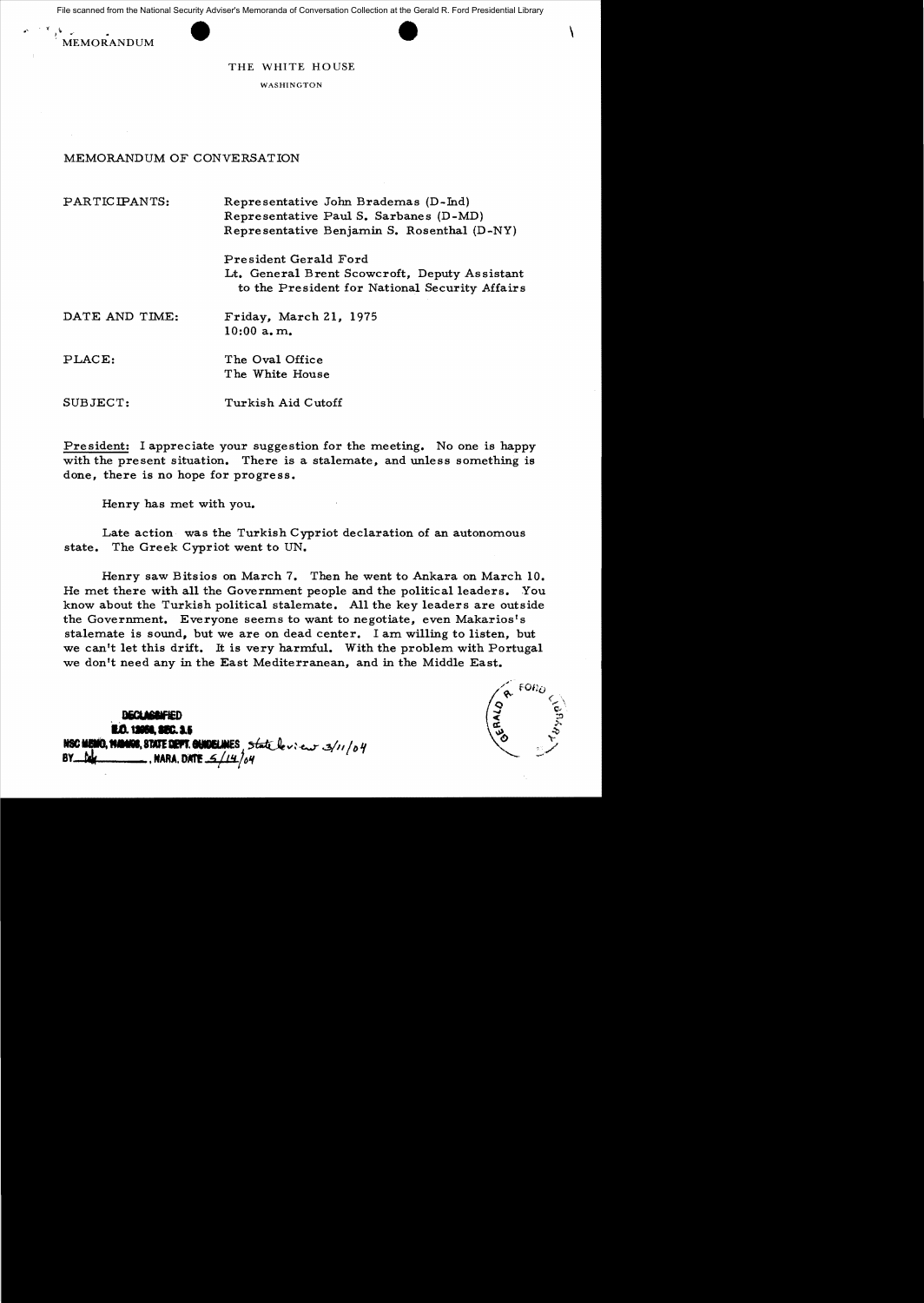File scanned from the National Security Adviser's Memoranda of Conversation Collection at the Gerald R. Ford Presidential Library File scanned from the National Security Adviser's Memoranda of Conversation Collection at the Gerald R. Ford Presidential Library





THE WHITE HOUSE

WASHINGTON

## MEMORANDUM OF CONVERSATION

PARTICIPANTS: Representative John Brademas (D-Ind) Representative Paul S. Sarbanes (D-MD) Representative Benjamin S. Rosenthal (D-NY)

> President Gerald Ford Lt. General Brent Scowcroft, Deputy As sistant to the President for National Security Affairs

- DATE AND TIME: Friday, March 21, 1975 10:00 a. m.
- PLACE: The Oval Office The White House

SUBJECT: Turkish Aid Cutoff

President: I appreciate your suggestion for the meeting. No one is happy with the present situation. There is a stalemate, and unless something is done, there is no hope for progress.

Henry has met with you.

Late action was the Turkish Cypriot declaration of an autonomous state. The Greek Cypriot went to UN.

Henry saw Bitsios on March 7. Then he went to Ankara on March 10. He met there with a11 the Government people and the political leaders. You know about the Turkish political stalemate. A11 the key leaders are outside the Government. Everyone seems to want to negotiate, even Makarios's stalemate is sound, but we are on dead center. I am wi11ing to listen, but we can't let this drift. It is very harmful. With the problem with Portugal we don't need any in the East Mediterranean, and in the Middle East.

**DECLASSIFIED 14.0.12088, SEC. 3.5<br>1480 MEMO, 91.0008, STATE DEPT. GUIDELINES, State levieur 3/11/04**<br>BY Pub **BY. THE ARRA. DATE 34/14/64** 

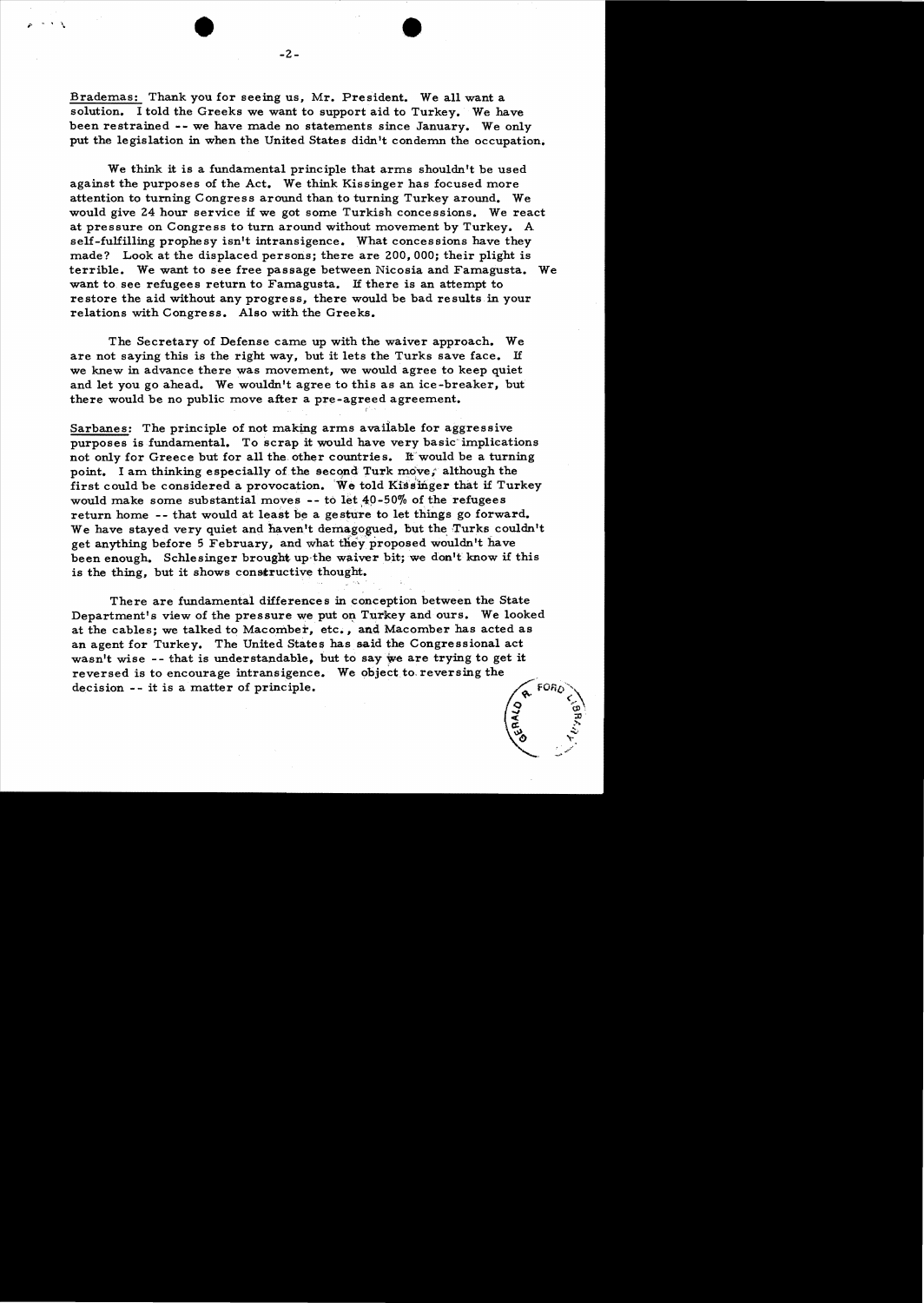Brademas: Thank you for seeing us, Mr. President. We all want a solution. 1 told the Greeks we want to support aid to Turkey. We have been restrained -- we have made no statements since January. We only put the legislation in when the United States didn't condemn the occupation.

We think it is a fundamental principle that arms shouldn't be used against the purposes of the Act. We think Kissinger has focused more attention to turning Congress around than to turning Turkey around. We would give 24 hour service if we got some Turkish concessions. We react at pressure on Congress to turn around without movement by Turkey. A self-fulfilling prophesy isn't intransigence. What concessions have they made? Look at the displaced persons; there are 200,000; their plight is terrible. We want to see free passage between Nicosia and Famagusta. We want to see refugees return to Famagusta. If there is an attempt to restore the aid without any progress, there would be bad results in your relations with Congress. Also with the Greeks.

The Secretary of Defense came up with the waiver approach. We are not saying this is the right way, but it lets the Turks save face. H we knew in advance there was movement, we would agree to keep quiet and let you go ahead. We wouldn't agree to this as an ice-breaker, but there would be no public move after a pre-agreed agreement.

Sarbanes: The principle of not making arms available for aggressive purposes is fundamental. To scrap it would have very basic implications not only for Greece but for all the other countries. It would be a turning point. I am thinking especially of the second Turk move, although the first could be considered a provocation. We told Kissinger that if Turkey would make some substantial moves  $-$ - to let  $40-50\%$  of the refugees return home -- that would at least be a gesture to let things go forward. We have stayed very quiet and haven't demagogued, but the Turks couldn't get anything before 5 February, and what they proposed wouldn't have been enough. Schlesinger brought up-the waiver bit; we don't know if this is the thing, but it shows constructive thought.

There are fundamental differences in conception between the State Department's view of the pressure we put on Turkey and ours. We looked at the cables; we talked to Macomber, etc., and Macomber has acted as an agent for Turkey. The United States has said the Congressional act wasn't wise -- that is understandable, but to say we are trying to get it reversed is to encourage intransigence. We object to reversing the decision -- it is a matter of principle.



, . . .  $\chi$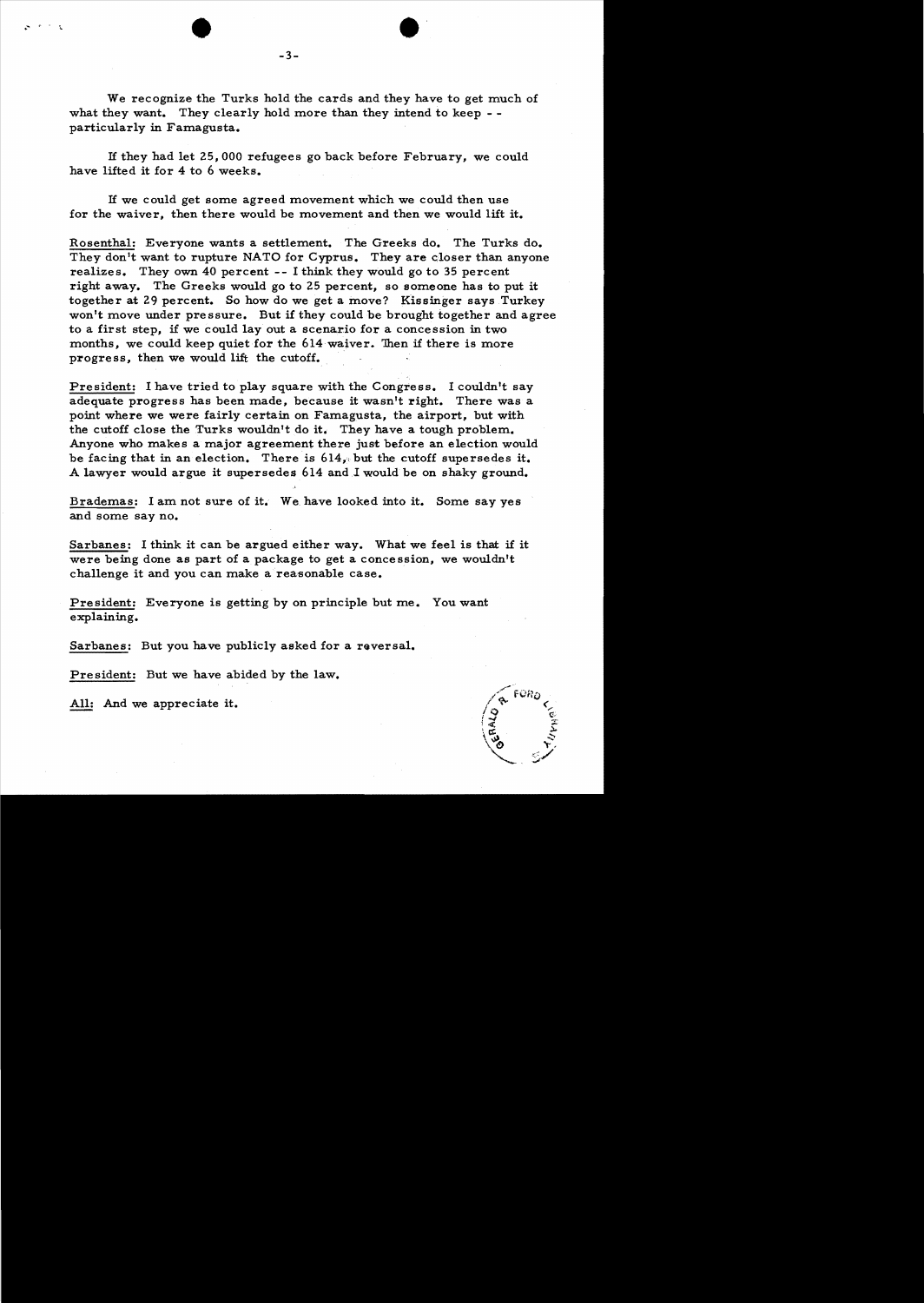We recognize the Turks hold the cards and they have to get much of what they want. They clearly hold more than they intend to keep -particularly in Famagusta.

H they had let 25,000 refugees go back before February, we could have lifted it for 4 to 6 weeks.

H we could get some agreed movement which we could then use for the waiver, then there would be movement and then we would lift it.

Rosenthal: Everyone wants a settlement. The Greeks do. The Turks do. They don't want to rupture NATO for Cyprus. They are closer than anyone realizes. They own 40 percent -- I think they would go to 35 percent right away. The Greeks would go to 25 percent, so someone has to put it together at 29 percent. So how do we get a move? Kissinger says Turkey won't move under pressure. But if they could be brought together and agree to a first step, if we could layout a scenario for a concession in two months, we could keep quiet for the 614 waiver. Then if there is more progress, then we would lift the cutoff.

President: I have tried to play square with the Congress. I couldn't say adequate progress has been made, because it wasn't right. There was a point where we were fairly certain on Famagusta, the airport, but with the cutoff close the Turks wouldn't do it. They have a tough problem. Anyone who makes a major agreement there just before an election would be facing that in an election. There is  $614<sub>s</sub>$  but the cutoff supersedes it. A lawyer would argue it supersedes 614 and.1 would be on shaky ground.

Brademas: I am not sure of it. We. have looked into it. Some say yes and some say no.

Sarbanes: I think it can be argued either way. What we feel is that if it were being done as part of a package to get a conce ssion, we wouldn't challenge it and you can make a reasonable case.

President: Everyone is getting by on principle but me. You want explaining.

Sarbanes: But you have publicly asked for a reversal.

President: But we have abided by the law.

All: And we appreciate it.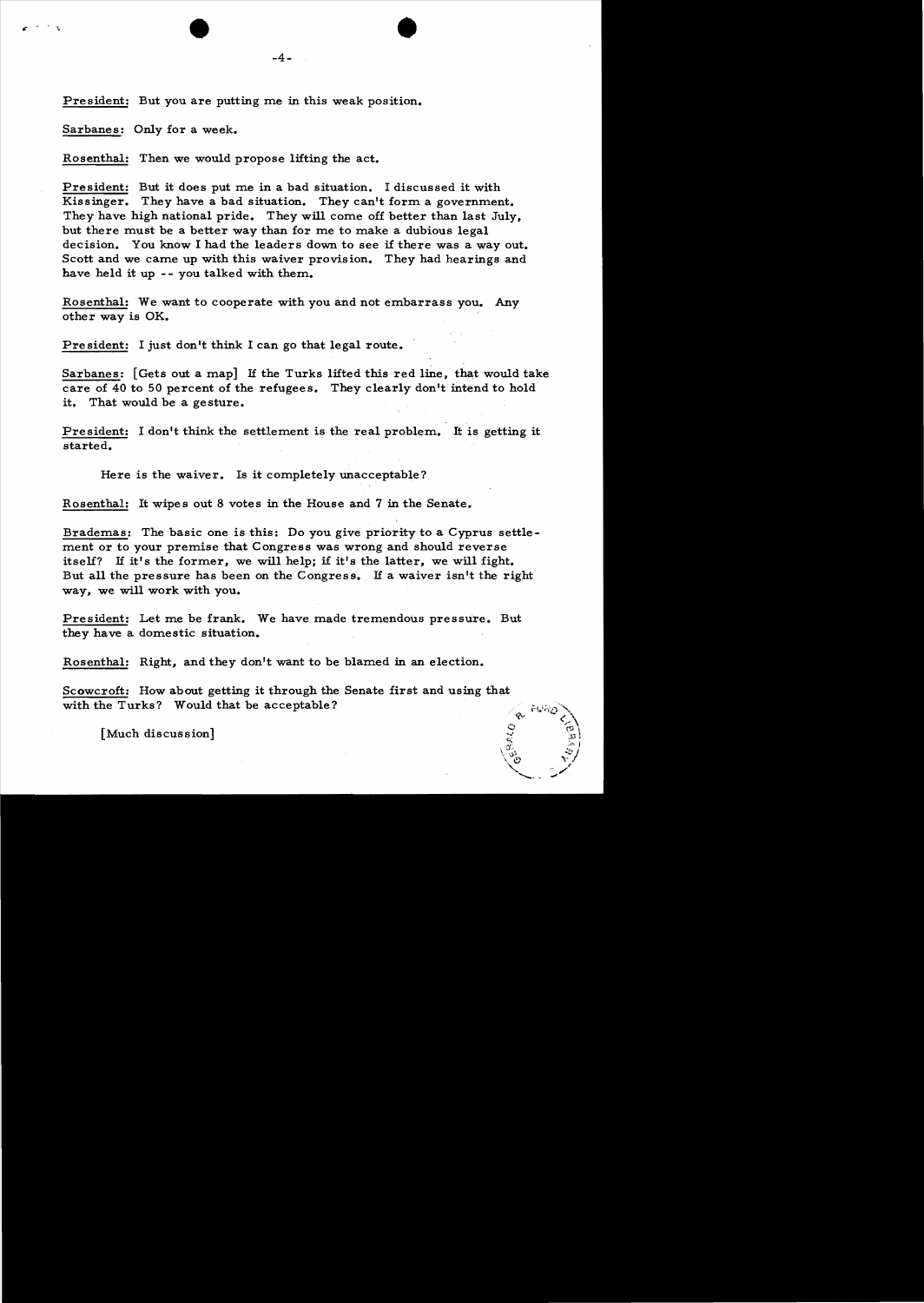•

President: But you are putting me in this weak position.

Sarbanes: Only for a week.

 $\bullet$  .  $\circ$  .  $\circ$ 

Rosenthal: Then we would propose lifting the act.

President: But it does put me in a bad situation. I discussed it with Kissinger. They have a bad situation. They can't form a government. They have high national pride. They will come off better than last July, but there must be a better way than for me to make a dubious legal decision. You know I had the leaders down to see if there was a way out. Scott and we came up with this waiver provision. They had hearings and have held it up -- you talked with them.

Rosenthal: We want to cooperate with you and not embarrass you. Any other way is OK.

President: I just don't think I can go that legal route.

Sarbanes:  $[Gets out a map]$  If the Turks lifted this red line, that would take care of 40 to 50 percent of the refugees. They clearly don't intend to hold it. That would be a gesture.

President: I don't think the settlement is the real problem. It is getting it started.

Here is the waiver. Is it completely unacceptable?

Rosenthal: It wipes out 8 votes in the House and 7 in the Senate.

Brademas: The basic one is this: Do you give priority to a Cyprus settlement or to your premise that Congress was wrong and should reverse itself? H it's the former, we will help; if it's the latter, we will fight. But a11 the pressure has been on the Congress. H a waiver isn't the right way, we wi11 work with you.

President: Let me be frank. We have made tremendous pressure. But they have a domestic situation.

Rosenthal: Right, and they don't want to be blamed in an election.

Scowcroft: How about getting it through the Senate first and using that with the Turks? Would that be acceptable?

 $\mathscr{C}$ 

 $\sqrt{3}$ ,  $\sqrt{3}$  $\setminus$  '0  $\setminus$   $\setminus$  $\searrow$  .  $\swarrow$ 

 $\lceil$  Much discussion]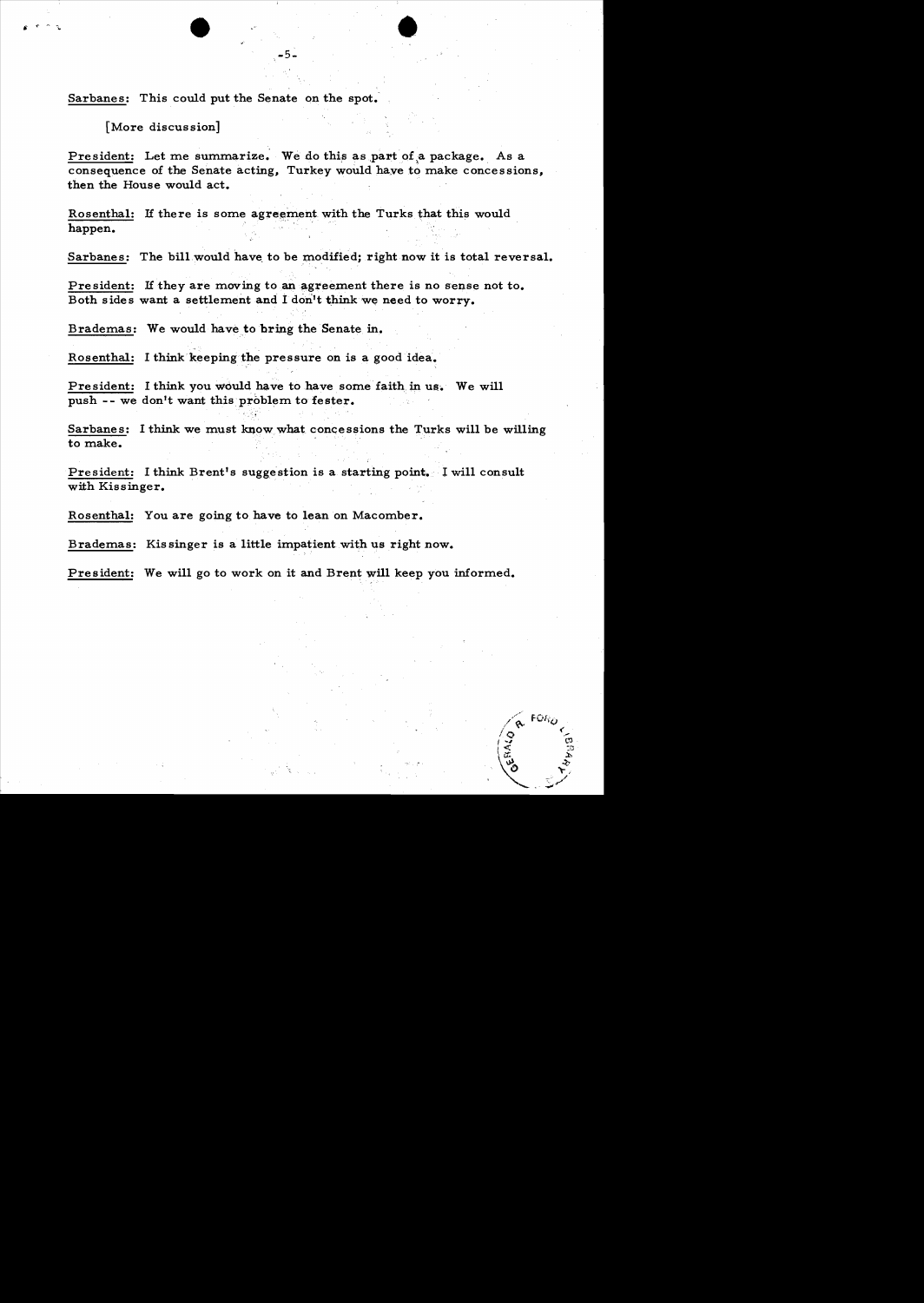Sarbanes: This could put the Senate on the spot.

[More discussion]

President: Let me summarize. We do this as part of a package. As a consequence of the Senate acting, Turkey would have to make concessions, then the House would act.

-5~ •

Rosenthal: If there is some agreement with the Turks that this would happen.

Sarbanes: The bill would have to be modified; right now it is total reversal.

President: If they are moving to an agreement there is no sense not to. Both sides want a settlement and I don't think we need to worry.

Brademas: We would have to bring the Senate in.

Rosenthal: I think keeping the pressure on is a good idea.

President: I think you would have to have some faith in us. We will push -- we don't want this problem to fester.

Sarbanes: I think we must know what concessions the Turks will be willing to make.

President: I think Brent's suggestion is a starting point. I will consult with Kissinger.

Rosenthal: You are going to have to lean on Macomber.

Brademas: Kis singer is a little impatient with us right now.

President: We will go to work on it and Brent will keep you informed.

FORO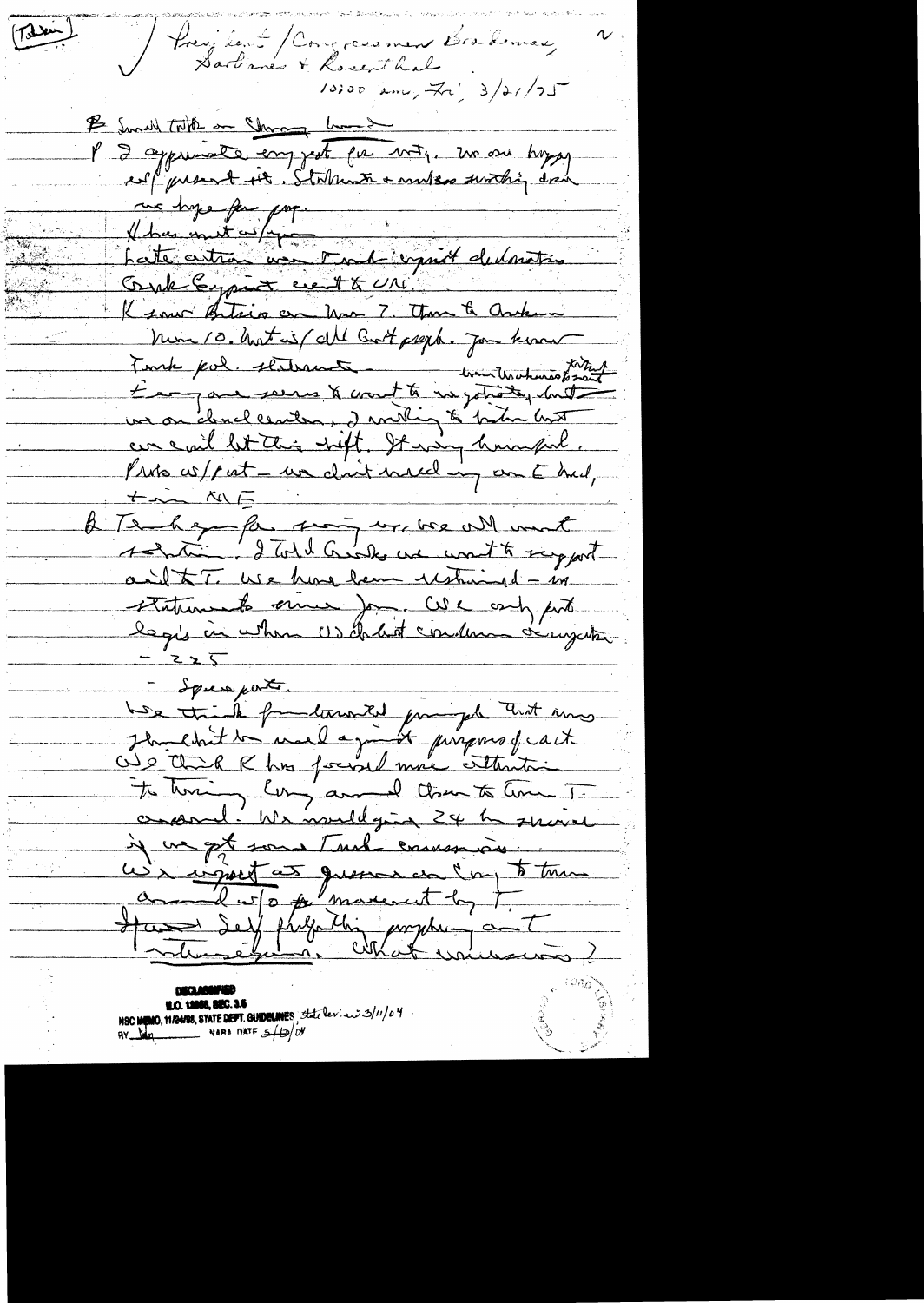President / Congressment Brademac<br>Sartianes + Rosenthal  $T_{\text{max}}$ I Small Till on Change hand P 2 apprenante comprat que még, ma sur hoppy are hype for propme hype for paper Court Expire cent & UNI. K sour Betain on hom 7. Than & Orken Min 10. hout is / all Got prept. Jon know Touch pol. statement in communautrement un on dendlementen, den milig to be him hust eur eaut let this nift. It was huimful.<br>Pris co/pat - un clair need in om E hud,  $+$   $\sim$   $\sim$   $\sim$   $\sim$ A Tenhaya far song ur we will must ainst to use hune ham ushind - in statements since Jon. We compute  $=225$ - Sque perte. We trial fondament principale that may Out that I has found more enterstain te homing long and them to home To croand. We would give 24 h service u) i sport at queen en l'important **M.O. 12000, 820. 3.5**<br>NSC MEMO, 11/24/98, STATE DEPT. GUIDELINES State levies 3/11/04<br>NARA DATE 5/13/04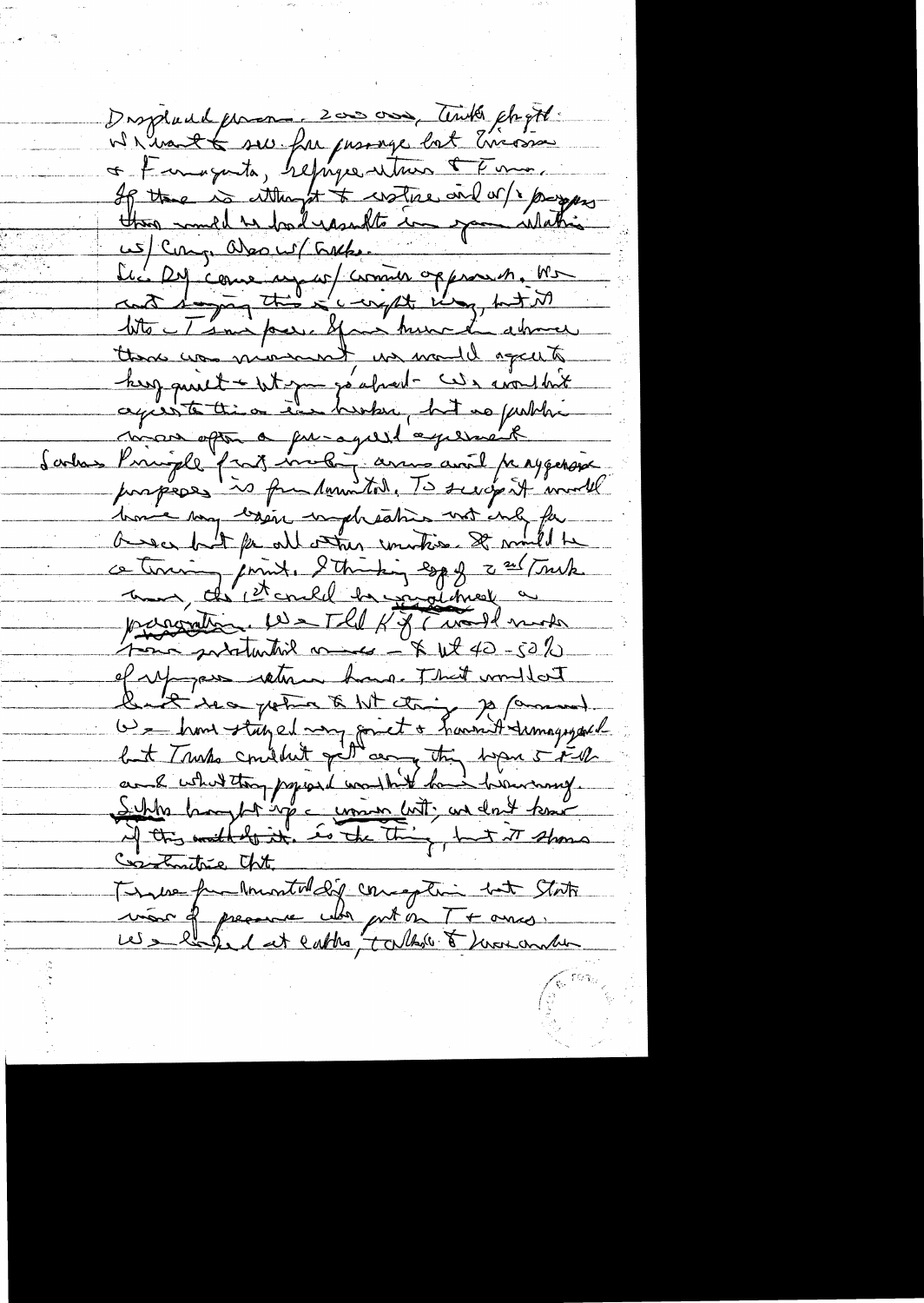Displand forman 2000 000, Timber chapte Wh want to see for presence but Errosson + Famigueta, hefugee vitrus & Fume, Les 29 come un au commer opperant. Ma tite Témi par y moi turn de abrica there was minimum in model again herz quiet - Whym go about - wouldn't Sortas Principle fait motor arms avait passperse home my lesson unpheaties with only for asses but for all other unities. It mult be ce terring joint. 2 thinking egg of 2 and Truck parametin 10 - The K of Cural mode of up pas return hours. That wouldn't<br>but Turks constitut of any to have the way your Constructive Cht. Tempe furtherated of consequent but State vier de presence uls priest en T + ances.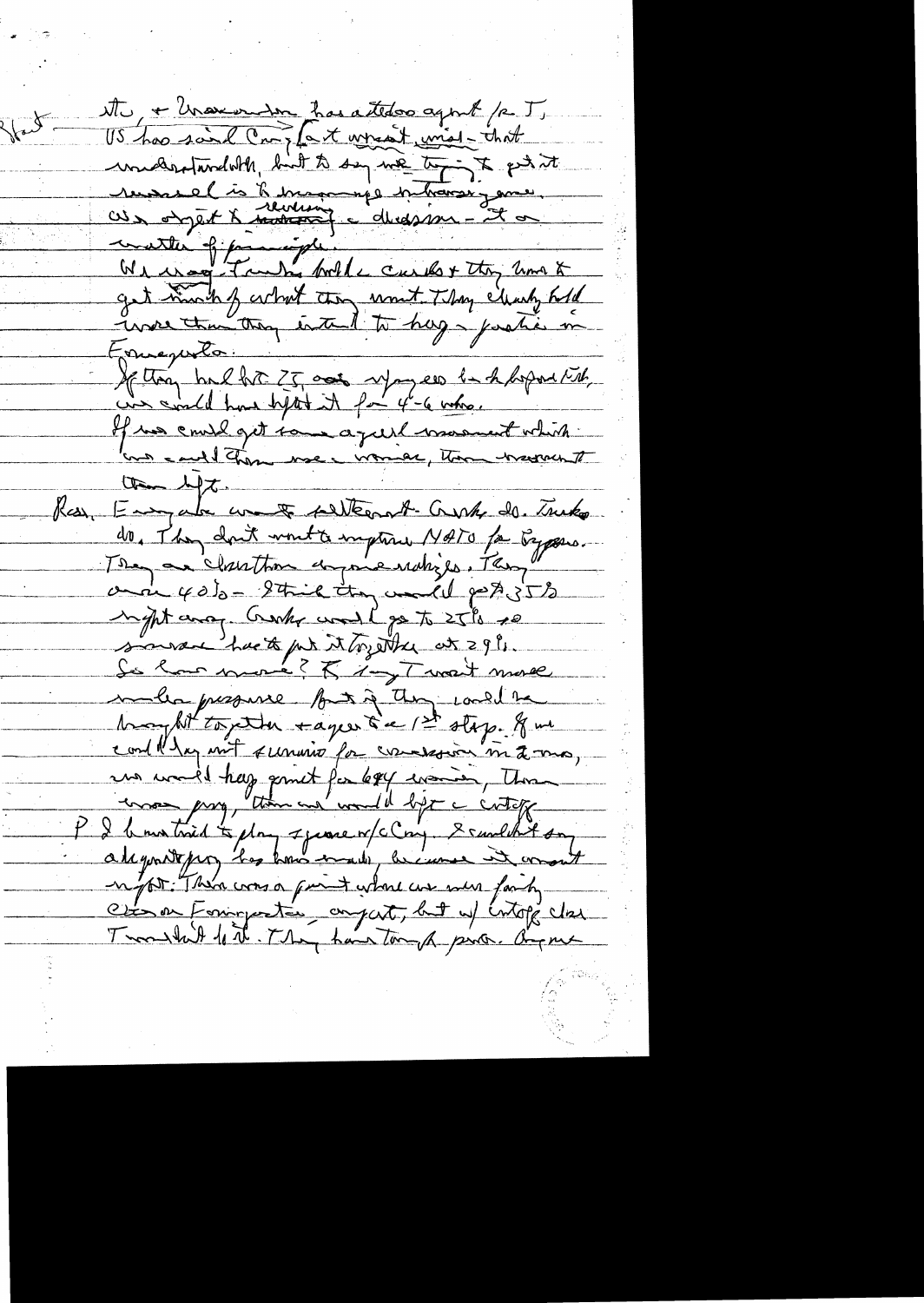tte, + Unevender has atteloo agent /2 T. US has said Croz fait assemble unes that included to the painting of this best with the form of the painting russiel is le mondieur partiers jame watter of family with curls + they am & investmenting intend to hay parties in Enverse If they had fit 25 acts sympaes he h hoped till If we could get tour a just more total une could them use income to the hersen of the left. Ray, Empala ware fallternt-Crush de. Truko do, They don't wont a imption NATO for Bypare. and 40% - Strick they would perfect to inght and Creaky would go to 25% po source hack put it together at 29%. So how more? Kig Tweet more malla presence fort à they could be hanghit together sayer & a 1st stap. If we cont day not survive for concession m 2 mg, un model hag point for legg evenir, Thomas I bourtried to play speare of closy Scandart on alegratepor, has knowned, because it want not There was a faint where we were faity Citat en Formporter au part, but up intopi clas Transland forthe They have tomak pino. Organ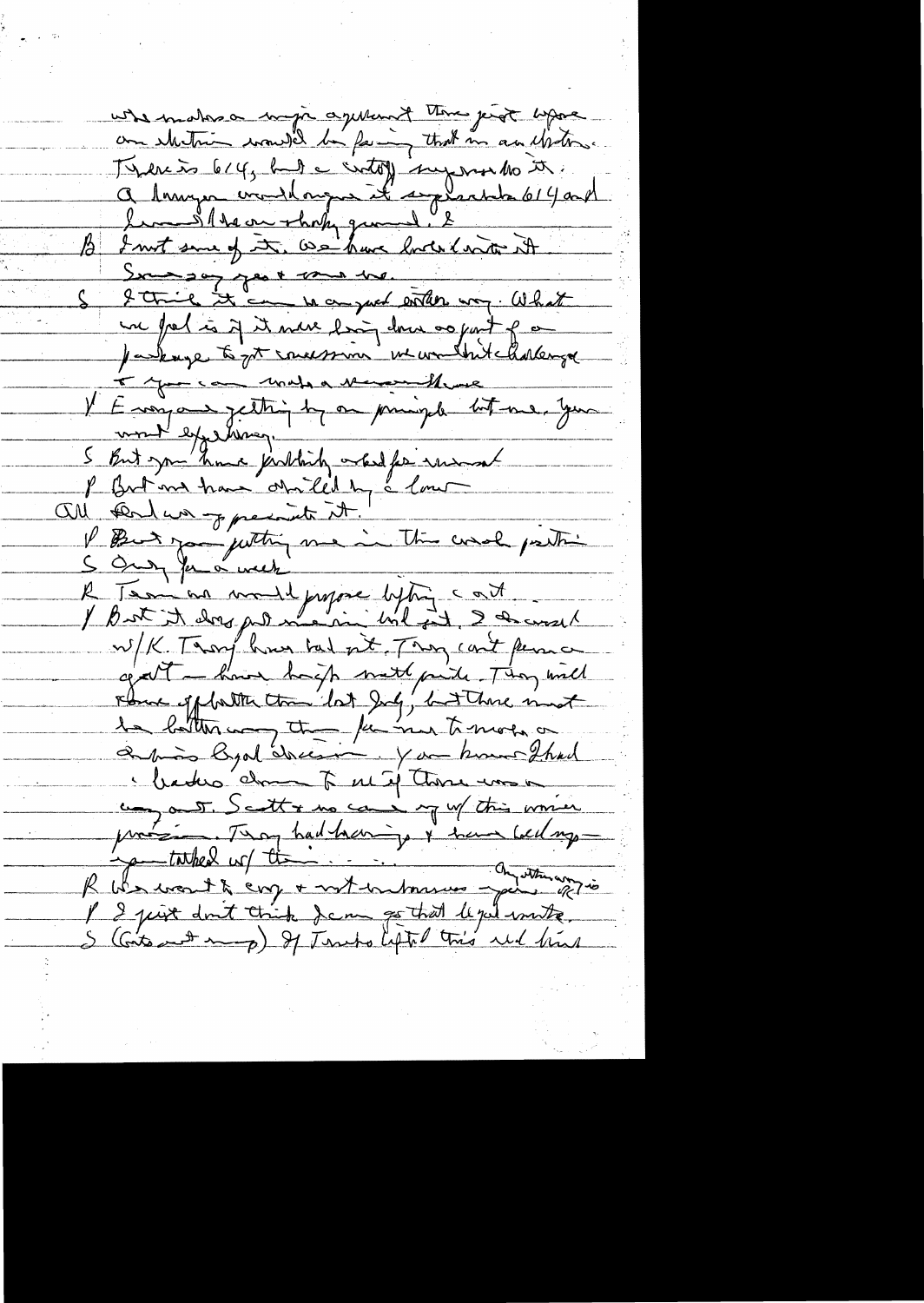uste mater a mujo aquent ten perot aprè Térenis 614, but à cirtoy superinto se Lem Slteve shop grand. E B I must same of it, we have looked with it Soundat de la mande. une free is if it were living down or part of Jackage to get concession in wand but harlenge V Enoya ettigt om pringt lot me, you P Britant have obtilled by a low all can have present it. I But you justing me in the word partir W/K. Thoughour bad nt, They can't perma gatt - have happ met paide. They will rbue of father than lot July, but There must amon Byal cheesing. You know that leder dans à méj thore une un out. Scott & me can my of this women protision Thay had hearing & have bedry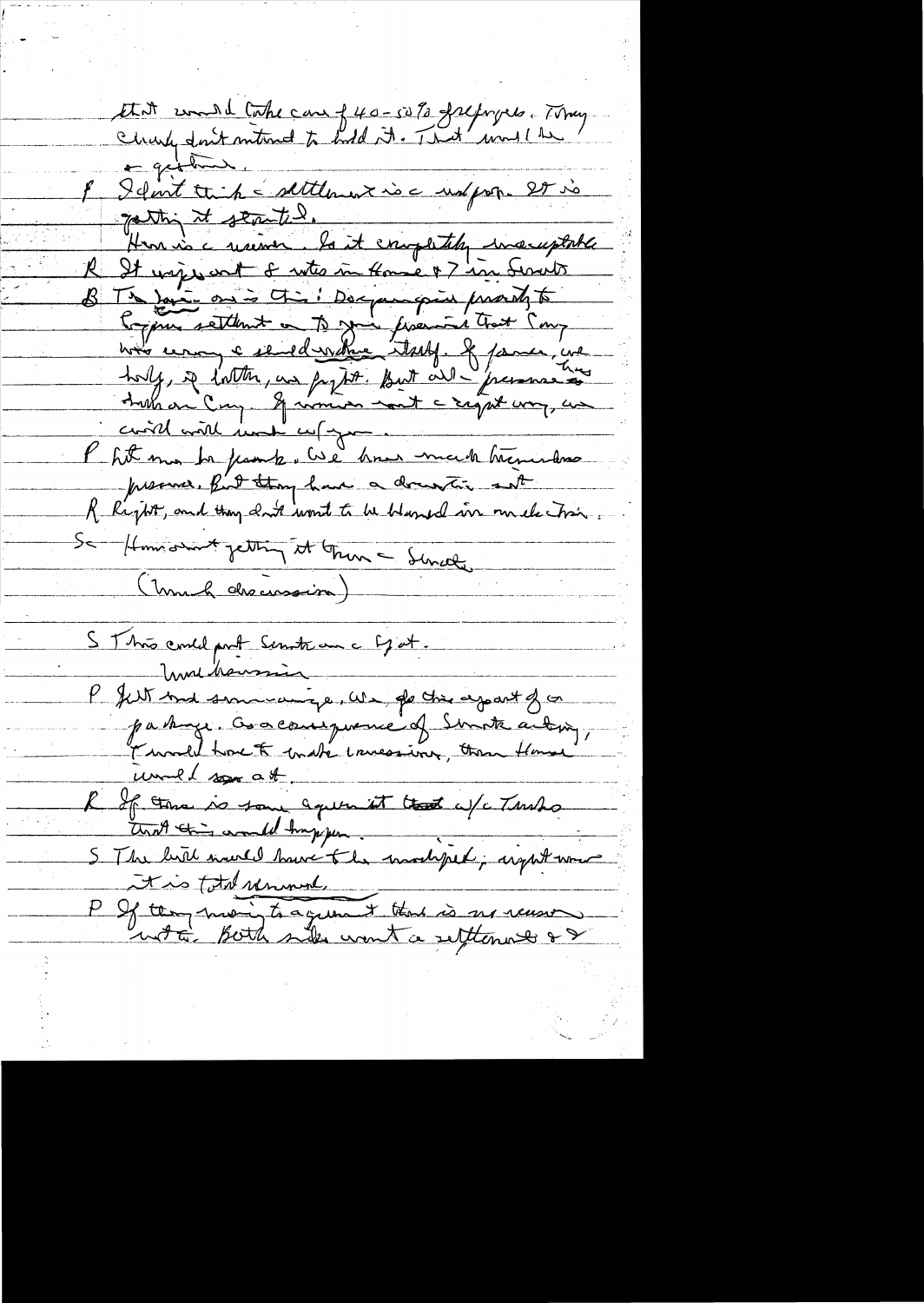Et it come d'Cake can f 40-50% frepryers. Tomy.<br>Charles don't metered to hold it. That moulthe a gething 8 Idont timbre settlement inc uniforme 27 vo The the same with the subscription of the same of the same of the same of the same of the same of the same of the same of the same of the same of the same of the same of the same of the same of the same of the same of the court with hunde cup your Phit may be passed and how made herewhere presence, fut they have a documentie sat R Right, and they don't won't to be bland in mile his Se Homsomt jetting it Grun - Sincer S This could prot Servite au c Ej et. Wir hausin P filt med sommeninge, We of the agant of or particular of the system of or unel son at R If the is some aquinist that a /c Turks 5 The hill were have the modified; arght was tis total removal P If they more to agreement that is no recessor